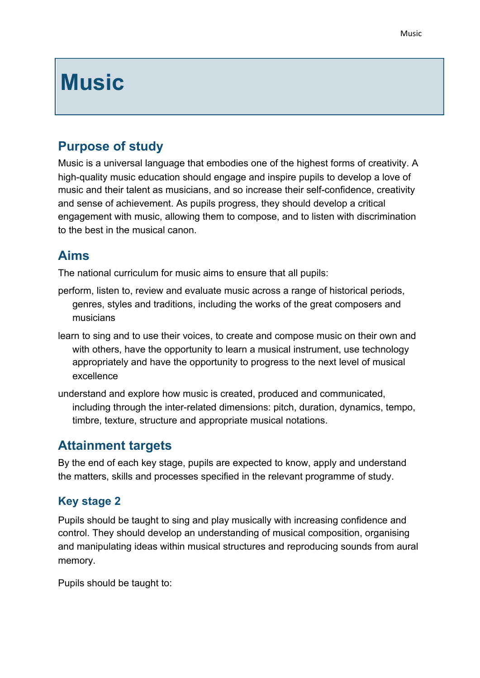# **Music**

## **Purpose of study**

Music is a universal language that embodies one of the highest forms of creativity. A high-quality music education should engage and inspire pupils to develop a love of music and their talent as musicians, and so increase their self-confidence, creativity and sense of achievement. As pupils progress, they should develop a critical engagement with music, allowing them to compose, and to listen with discrimination to the best in the musical canon.

## **Aims**

The national curriculum for music aims to ensure that all pupils:

- perform, listen to, review and evaluate music across a range of historical periods, genres, styles and traditions, including the works of the great composers and musicians
- learn to sing and to use their voices, to create and compose music on their own and with others, have the opportunity to learn a musical instrument, use technology appropriately and have the opportunity to progress to the next level of musical excellence
- understand and explore how music is created, produced and communicated, including through the inter-related dimensions: pitch, duration, dynamics, tempo, timbre, texture, structure and appropriate musical notations.

#### **Attainment targets**

By the end of each key stage, pupils are expected to know, apply and understand the matters, skills and processes specified in the relevant programme of study.

#### **Key stage 2**

Pupils should be taught to sing and play musically with increasing confidence and control. They should develop an understanding of musical composition, organising and manipulating ideas within musical structures and reproducing sounds from aural memory.

Pupils should be taught to: